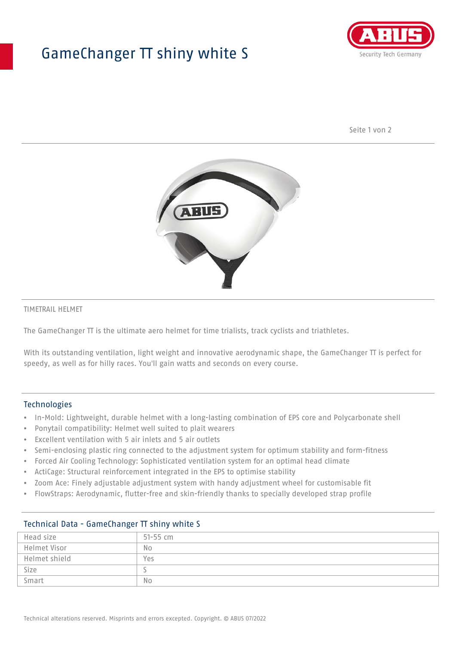## GameChanger TT shiny white S



Seite 1 von 2



#### TIMETRAIL HELMET

The GameChanger TT is the ultimate aero helmet for time trialists, track cyclists and triathletes.

With its outstanding ventilation, light weight and innovative aerodynamic shape, the GameChanger TT is perfect for speedy, as well as for hilly races. You'll gain watts and seconds on every course.

#### Technologies

- In-Mold: Lightweight, durable helmet with a long-lasting combination of EPS core and Polycarbonate shell
- Ponytail compatibility: Helmet well suited to plait wearers
- Excellent ventilation with 5 air inlets and 5 air outlets
- Semi-enclosing plastic ring connected to the adjustment system for optimum stability and form-fitness
- Forced Air Cooling Technology: Sophisticated ventilation system for an optimal head climate
- ActiCage: Structural reinforcement integrated in the EPS to optimise stability
- Zoom Ace: Finely adjustable adjustment system with handy adjustment wheel for customisable fit
- FlowStraps: Aerodynamic, flutter-free and skin-friendly thanks to specially developed strap profile

| Head size     | $51 - 55$ cm |
|---------------|--------------|
| Helmet Visor  | No           |
| Helmet shield | Yes          |
| Size          |              |
| Smart         | No           |

## Technical Data - GameChanger TT shiny white S